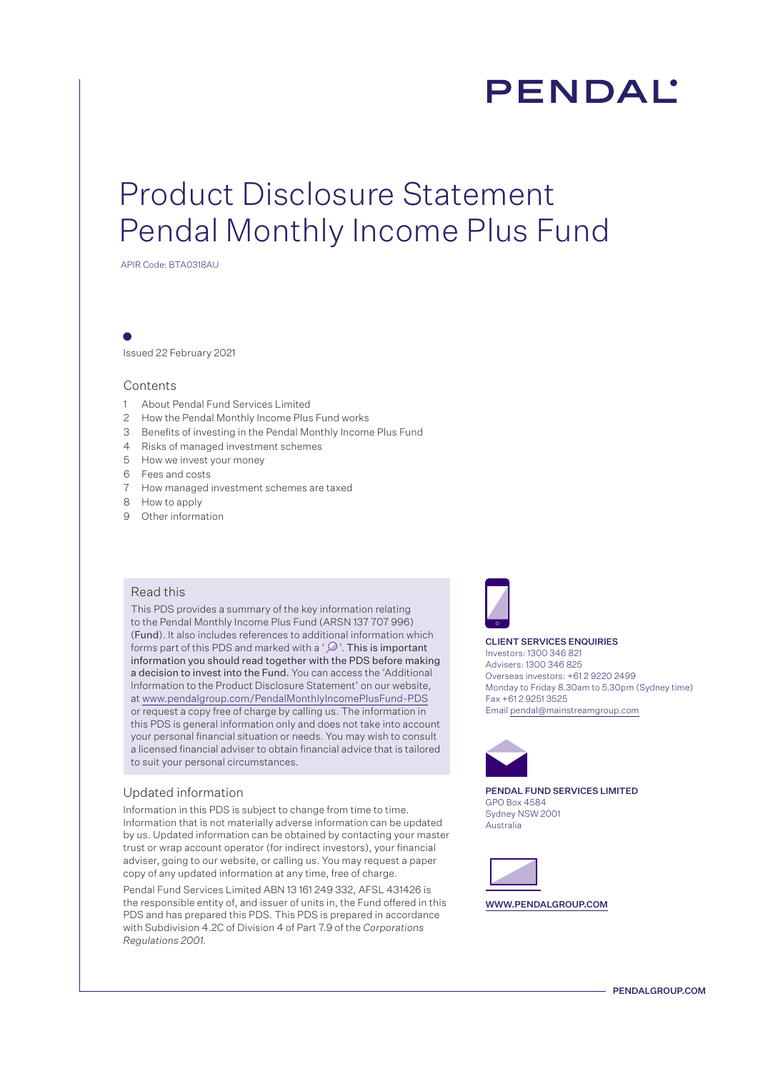# **PENDAL**

## Product Disclosure Statement Pendal Monthly Income Plus Fund

APIR Code: BTA0318AU

Issued 22 February 2021

### Contents

- 1 About Pendal Fund Services Limited
- 2 How the Pendal Monthly Income Plus Fund works
- 3 Benefits of investing in the Pendal Monthly Income Plus Fund
- 4 Risks of managed investment schemes
- 5 How we invest your money
- 6 Fees and costs
- 7 How managed investment schemes are taxed
- 8 How to apply
- 9 Other information

### Read this

This PDS provides a summary of the key information relating to the Pendal Monthly Income Plus Fund (ARSN 137 707 996) (Fund). It also includes references to additional information which forms part of this PDS and marked with a ' $\mathcal{D}$ '. This is important information you should read together with the PDS before making a decision to invest into the Fund. You can access the 'Additional Information to the Product Disclosure Statement' on our website, at www.pendalgroup.com/PendalMonthlyIncomePlusFund-PDS or request a copy free of charge by calling us. The information in this PDS is general information only and does not take into account your personal financial situation or needs. You may wish to consult a licensed financial adviser to obtain financial advice that is tailored to suit your personal circumstances.

#### Updated information

Information in this PDS is subject to change from time to time. Information that is not materially adverse information can be updated by us. Updated information can be obtained by contacting your master trust or wrap account operator (for indirect investors), your financial adviser, going to our website, or calling us. You may request a paper copy of any updated information at any time, free of charge.

Pendal Fund Services Limited ABN 13 161 249 332, AFSL 431426 is the responsible entity of, and issuer of units in, the Fund offered in this PDS and has prepared this PDS. This PDS is prepared in accordance with Subdivision 4.2C of Division 4 of Part 7.9 of the *Corporations Regulations 2001.* 



#### CLIENT SERVICES ENQUIRIES

Investors: 1300 346 821 Advisers: 1300 346 825 Overseas investors: +61 2 9220 2499 Monday to Friday 8.30am to 5.30pm (Sydney time) Fax +61 2 9251 3525 Email pendal@mainstreamgroup.com



PENDAL FUND SERVICES LIMITED GPO Box 4584 Sydney NSW 2001 Australia



WWW.PENDALGROUP.COM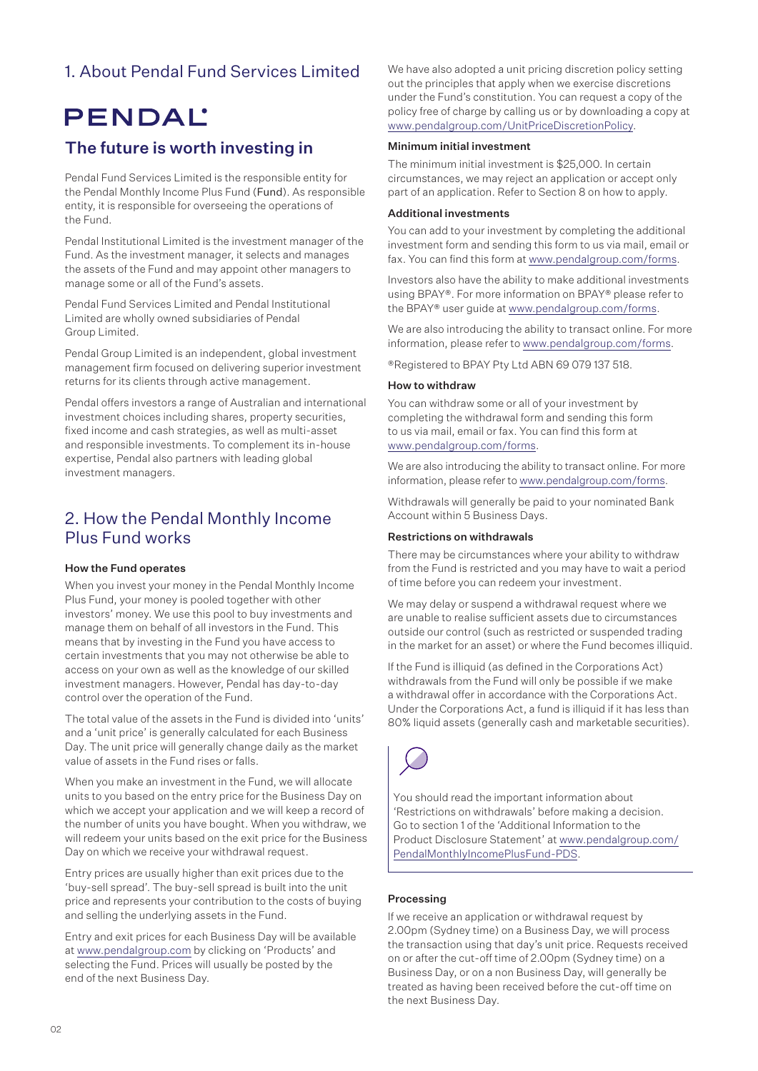### 1. About Pendal Fund Services Limited

## **PENDAL**

### The future is worth investing in

Pendal Fund Services Limited is the responsible entity for the Pendal Monthly Income Plus Fund (Fund). As responsible entity, it is responsible for overseeing the operations of the Fund.

Pendal Institutional Limited is the investment manager of the Fund. As the investment manager, it selects and manages the assets of the Fund and may appoint other managers to manage some or all of the Fund's assets.

Pendal Fund Services Limited and Pendal Institutional Limited are wholly owned subsidiaries of Pendal Group Limited.

Pendal Group Limited is an independent, global investment management firm focused on delivering superior investment returns for its clients through active management.

Pendal offers investors a range of Australian and international investment choices including shares, property securities, fixed income and cash strategies, as well as multi-asset and responsible investments. To complement its in-house expertise, Pendal also partners with leading global investment managers.

### 2. How the Pendal Monthly Income Plus Fund works

### How the Fund operates

When you invest your money in the Pendal Monthly Income Plus Fund, your money is pooled together with other investors' money. We use this pool to buy investments and manage them on behalf of all investors in the Fund. This means that by investing in the Fund you have access to certain investments that you may not otherwise be able to access on your own as well as the knowledge of our skilled investment managers. However, Pendal has day-to-day control over the operation of the Fund.

The total value of the assets in the Fund is divided into 'units' and a 'unit price' is generally calculated for each Business Day. The unit price will generally change daily as the market value of assets in the Fund rises or falls.

When you make an investment in the Fund, we will allocate units to you based on the entry price for the Business Day on which we accept your application and we will keep a record of the number of units you have bought. When you withdraw, we will redeem your units based on the exit price for the Business Day on which we receive your withdrawal request.

Entry prices are usually higher than exit prices due to the 'buy-sell spread'. The buy-sell spread is built into the unit price and represents your contribution to the costs of buying and selling the underlying assets in the Fund.

Entry and exit prices for each Business Day will be available at www.pendalgroup.com by clicking on 'Products' and selecting the Fund. Prices will usually be posted by the end of the next Business Day.

We have also adopted a unit pricing discretion policy setting out the principles that apply when we exercise discretions under the Fund's constitution. You can request a copy of the policy free of charge by calling us or by downloading a copy at www.pendalgroup.com/UnitPriceDiscretionPolicy.

### Minimum initial investment

The minimum initial investment is \$25,000. In certain circumstances, we may reject an application or accept only part of an application. Refer to Section 8 on how to apply.

### Additional investments

You can add to your investment by completing the additional investment form and sending this form to us via mail, email or fax. You can find this form at www.pendalgroup.com/forms.

Investors also have the ability to make additional investments using BPAY®. For more information on BPAY® please refer to the BPAY® user guide at www.pendalgroup.com/forms.

We are also introducing the ability to transact online. For more information, please refer to www.pendalgroup.com/forms.

®Registered to BPAY Pty Ltd ABN 69 079 137 518.

### How to withdraw

You can withdraw some or all of your investment by completing the withdrawal form and sending this form to us via mail, email or fax. You can find this form at www.pendalgroup.com/forms.

We are also introducing the ability to transact online. For more information, please refer to www.pendalgroup.com/forms.

Withdrawals will generally be paid to your nominated Bank Account within 5 Business Days.

### Restrictions on withdrawals

There may be circumstances where your ability to withdraw from the Fund is restricted and you may have to wait a period of time before you can redeem your investment.

We may delay or suspend a withdrawal request where we are unable to realise sufficient assets due to circumstances outside our control (such as restricted or suspended trading in the market for an asset) or where the Fund becomes illiquid.

If the Fund is illiquid (as defined in the Corporations Act) withdrawals from the Fund will only be possible if we make a withdrawal offer in accordance with the Corporations Act. Under the Corporations Act, a fund is illiquid if it has less than 80% liquid assets (generally cash and marketable securities).



You should read the important information about 'Restrictions on withdrawals' before making a decision. Go to section 1 of the 'Additional Information to the Product Disclosure Statement' at [www.pendalgroup.com/](www.pendalgroup.com/PendalMonthlyIncomePlusFund-PDS) [PendalMonthlyIncomePlusFund-PDS.](www.pendalgroup.com/PendalMonthlyIncomePlusFund-PDS)

### Processing

If we receive an application or withdrawal request by 2.00pm (Sydney time) on a Business Day, we will process the transaction using that day's unit price. Requests received on or after the cut-off time of 2.00pm (Sydney time) on a Business Day, or on a non Business Day, will generally be treated as having been received before the cut-off time on the next Business Day.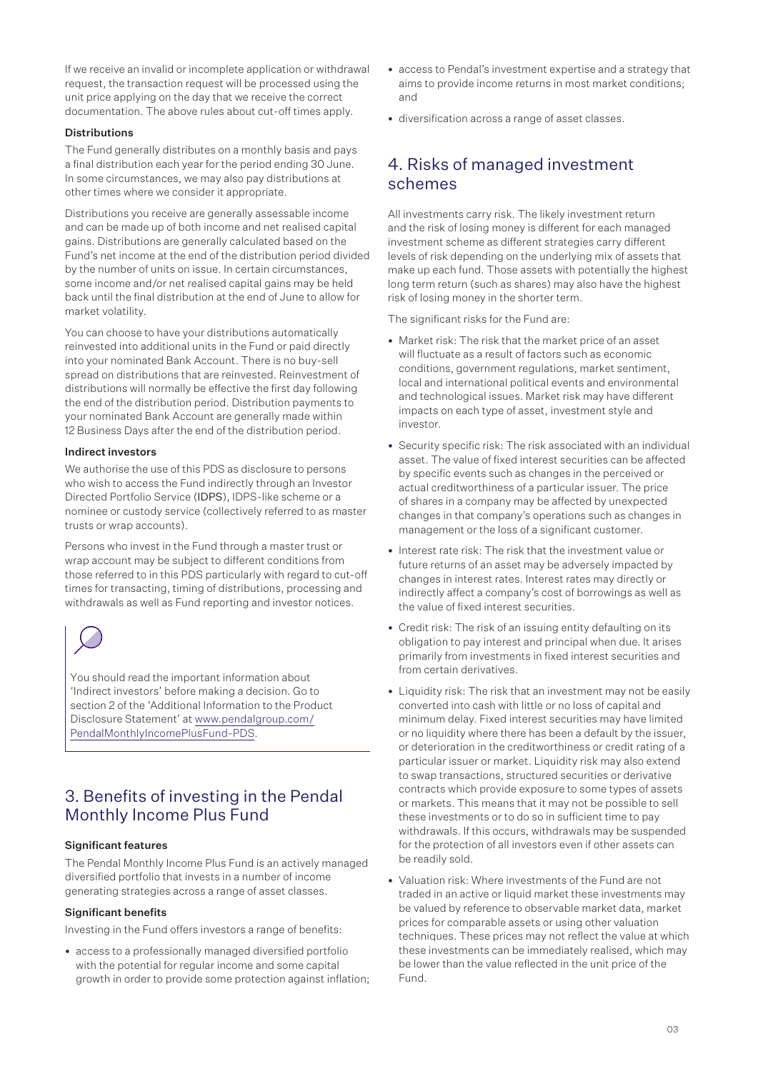If we receive an invalid or incomplete application or withdrawal request, the transaction request will be processed using the unit price applying on the day that we receive the correct documentation. The above rules about cut-off times apply.

### Distributions

The Fund generally distributes on a monthly basis and pays a final distribution each year for the period ending 30 June. In some circumstances, we may also pay distributions at other times where we consider it appropriate.

Distributions you receive are generally assessable income and can be made up of both income and net realised capital gains. Distributions are generally calculated based on the Fund's net income at the end of the distribution period divided by the number of units on issue. In certain circumstances, some income and/or net realised capital gains may be held back until the final distribution at the end of June to allow for market volatility.

You can choose to have your distributions automatically reinvested into additional units in the Fund or paid directly into your nominated Bank Account. There is no buy-sell spread on distributions that are reinvested. Reinvestment of distributions will normally be effective the first day following the end of the distribution period. Distribution payments to your nominated Bank Account are generally made within 12 Business Days after the end of the distribution period.

### Indirect investors

We authorise the use of this PDS as disclosure to persons who wish to access the Fund indirectly through an Investor Directed Portfolio Service (IDPS), IDPS-like scheme or a nominee or custody service (collectively referred to as master trusts or wrap accounts).

Persons who invest in the Fund through a master trust or wrap account may be subject to different conditions from those referred to in this PDS particularly with regard to cut-off times for transacting, timing of distributions, processing and withdrawals as well as Fund reporting and investor notices.

You should read the important information about 'Indirect investors' before making a decision. Go to section 2 of the 'Additional Information to the Product Disclosure Statement' at [www.pendalgroup.com/](www.pendalgroup.com/PendalMonthlyIncomePlusFund-PDS) [PendalMonthlyIncomePlusFund-PDS.](www.pendalgroup.com/PendalMonthlyIncomePlusFund-PDS)

## 3. Benefits of investing in the Pendal Monthly Income Plus Fund

### Significant features

The Pendal Monthly Income Plus Fund is an actively managed diversified portfolio that invests in a number of income generating strategies across a range of asset classes.

### Significant benefits

Investing in the Fund offers investors a range of benefits:

• access to a professionally managed diversified portfolio with the potential for regular income and some capital growth in order to provide some protection against inflation;

- access to Pendal's investment expertise and a strategy that aims to provide income returns in most market conditions; and
- diversification across a range of asset classes.

### 4. Risks of managed investment schemes

All investments carry risk. The likely investment return and the risk of losing money is different for each managed investment scheme as different strategies carry different levels of risk depending on the underlying mix of assets that make up each fund. Those assets with potentially the highest long term return (such as shares) may also have the highest risk of losing money in the shorter term.

The significant risks for the Fund are:

- Market risk: The risk that the market price of an asset will fluctuate as a result of factors such as economic conditions, government regulations, market sentiment, local and international political events and environmental and technological issues. Market risk may have different impacts on each type of asset, investment style and investor.
- Security specific risk: The risk associated with an individual asset. The value of fixed interest securities can be affected by specific events such as changes in the perceived or actual creditworthiness of a particular issuer. The price of shares in a company may be affected by unexpected changes in that company's operations such as changes in management or the loss of a significant customer.
- Interest rate risk: The risk that the investment value or future returns of an asset may be adversely impacted by changes in interest rates. Interest rates may directly or indirectly affect a company's cost of borrowings as well as the value of fixed interest securities.
- Credit risk: The risk of an issuing entity defaulting on its obligation to pay interest and principal when due. It arises primarily from investments in fixed interest securities and from certain derivatives.
- Liquidity risk: The risk that an investment may not be easily converted into cash with little or no loss of capital and minimum delay. Fixed interest securities may have limited or no liquidity where there has been a default by the issuer, or deterioration in the creditworthiness or credit rating of a particular issuer or market. Liquidity risk may also extend to swap transactions, structured securities or derivative contracts which provide exposure to some types of assets or markets. This means that it may not be possible to sell these investments or to do so in sufficient time to pay withdrawals. If this occurs, withdrawals may be suspended for the protection of all investors even if other assets can be readily sold.
- Valuation risk: Where investments of the Fund are not traded in an active or liquid market these investments may be valued by reference to observable market data, market prices for comparable assets or using other valuation techniques. These prices may not reflect the value at which these investments can be immediately realised, which may be lower than the value reflected in the unit price of the Fund.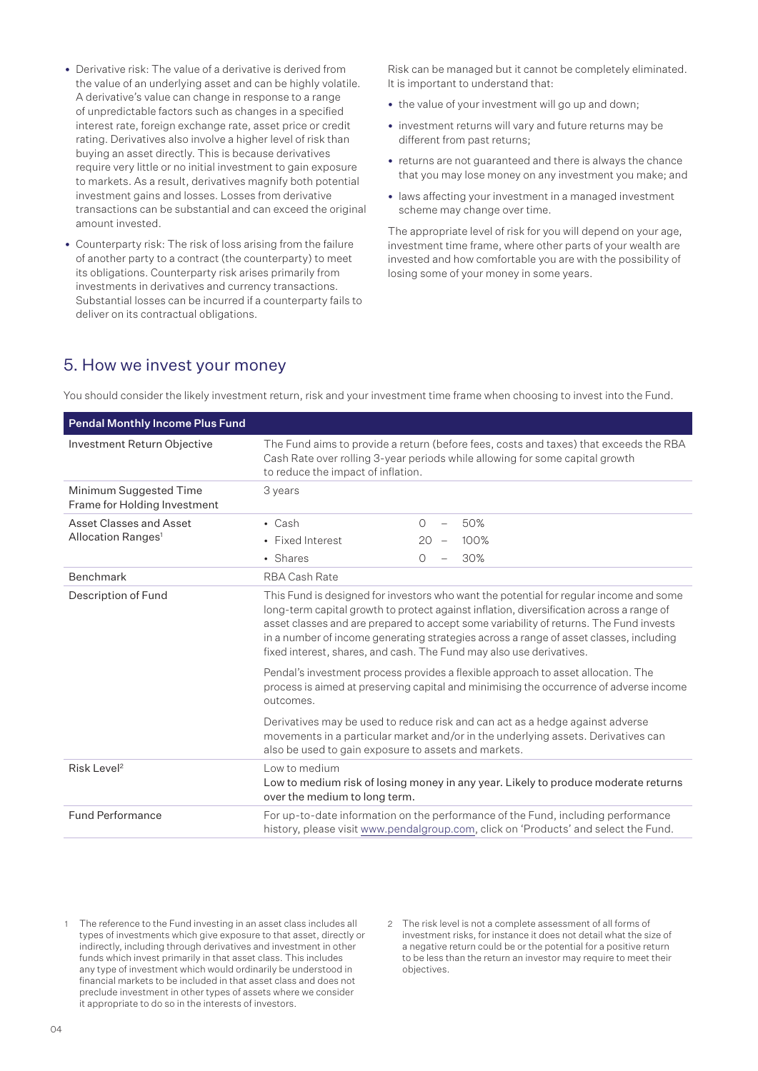- Derivative risk: The value of a derivative is derived from the value of an underlying asset and can be highly volatile. A derivative's value can change in response to a range of unpredictable factors such as changes in a specified interest rate, foreign exchange rate, asset price or credit rating. Derivatives also involve a higher level of risk than buying an asset directly. This is because derivatives require very little or no initial investment to gain exposure to markets. As a result, derivatives magnify both potential investment gains and losses. Losses from derivative transactions can be substantial and can exceed the original amount invested.
- Counterparty risk: The risk of loss arising from the failure of another party to a contract (the counterparty) to meet its obligations. Counterparty risk arises primarily from investments in derivatives and currency transactions. Substantial losses can be incurred if a counterparty fails to deliver on its contractual obligations.

Risk can be managed but it cannot be completely eliminated. It is important to understand that:

- the value of your investment will go up and down;
- investment returns will vary and future returns may be different from past returns;
- returns are not guaranteed and there is always the chance that you may lose money on any investment you make; and
- laws affecting your investment in a managed investment scheme may change over time.

The appropriate level of risk for you will depend on your age, investment time frame, where other parts of your wealth are invested and how comfortable you are with the possibility of losing some of your money in some years.

### 5. How we invest your money

You should consider the likely investment return, risk and your investment time frame when choosing to invest into the Fund.

| <b>Pendal Monthly Income Plus Fund</b>                 |                                                                                                                                                                                                                                                                                                                                                                                                                                                |                                                                                                                                                                             |
|--------------------------------------------------------|------------------------------------------------------------------------------------------------------------------------------------------------------------------------------------------------------------------------------------------------------------------------------------------------------------------------------------------------------------------------------------------------------------------------------------------------|-----------------------------------------------------------------------------------------------------------------------------------------------------------------------------|
| Investment Return Objective                            | The Fund aims to provide a return (before fees, costs and taxes) that exceeds the RBA<br>Cash Rate over rolling 3-year periods while allowing for some capital growth<br>to reduce the impact of inflation.                                                                                                                                                                                                                                    |                                                                                                                                                                             |
| Minimum Suggested Time<br>Frame for Holding Investment | 3 years                                                                                                                                                                                                                                                                                                                                                                                                                                        |                                                                                                                                                                             |
| Asset Classes and Asset                                | $\cdot$ Cash                                                                                                                                                                                                                                                                                                                                                                                                                                   | 50%<br>$\bigcap$<br>$\equiv$                                                                                                                                                |
| Allocation Ranges <sup>1</sup>                         | • Fixed Interest                                                                                                                                                                                                                                                                                                                                                                                                                               | 20<br>100%<br>$\overline{\phantom{a}}$                                                                                                                                      |
|                                                        | • Shares                                                                                                                                                                                                                                                                                                                                                                                                                                       | 30%<br>$\Omega$                                                                                                                                                             |
| Benchmark                                              | RBA Cash Rate                                                                                                                                                                                                                                                                                                                                                                                                                                  |                                                                                                                                                                             |
| Description of Fund                                    | This Fund is designed for investors who want the potential for regular income and some<br>long-term capital growth to protect against inflation, diversification across a range of<br>asset classes and are prepared to accept some variability of returns. The Fund invests<br>in a number of income generating strategies across a range of asset classes, including<br>fixed interest, shares, and cash. The Fund may also use derivatives. |                                                                                                                                                                             |
|                                                        | outcomes.                                                                                                                                                                                                                                                                                                                                                                                                                                      | Pendal's investment process provides a flexible approach to asset allocation. The<br>process is aimed at preserving capital and minimising the occurrence of adverse income |
|                                                        | Derivatives may be used to reduce risk and can act as a hedge against adverse<br>movements in a particular market and/or in the underlying assets. Derivatives can<br>also be used to gain exposure to assets and markets.                                                                                                                                                                                                                     |                                                                                                                                                                             |
| Risk Level <sup>2</sup>                                | Low to medium<br>Low to medium risk of losing money in any year. Likely to produce moderate returns<br>over the medium to long term.                                                                                                                                                                                                                                                                                                           |                                                                                                                                                                             |
| <b>Fund Performance</b>                                | For up-to-date information on the performance of the Fund, including performance<br>history, please visit www.pendalgroup.com, click on 'Products' and select the Fund.                                                                                                                                                                                                                                                                        |                                                                                                                                                                             |

- The reference to the Fund investing in an asset class includes all types of investments which give exposure to that asset, directly or indirectly, including through derivatives and investment in other funds which invest primarily in that asset class. This includes any type of investment which would ordinarily be understood in financial markets to be included in that asset class and does not preclude investment in other types of assets where we consider it appropriate to do so in the interests of investors.
- 2 The risk level is not a complete assessment of all forms of investment risks, for instance it does not detail what the size of a negative return could be or the potential for a positive return to be less than the return an investor may require to meet their objectives.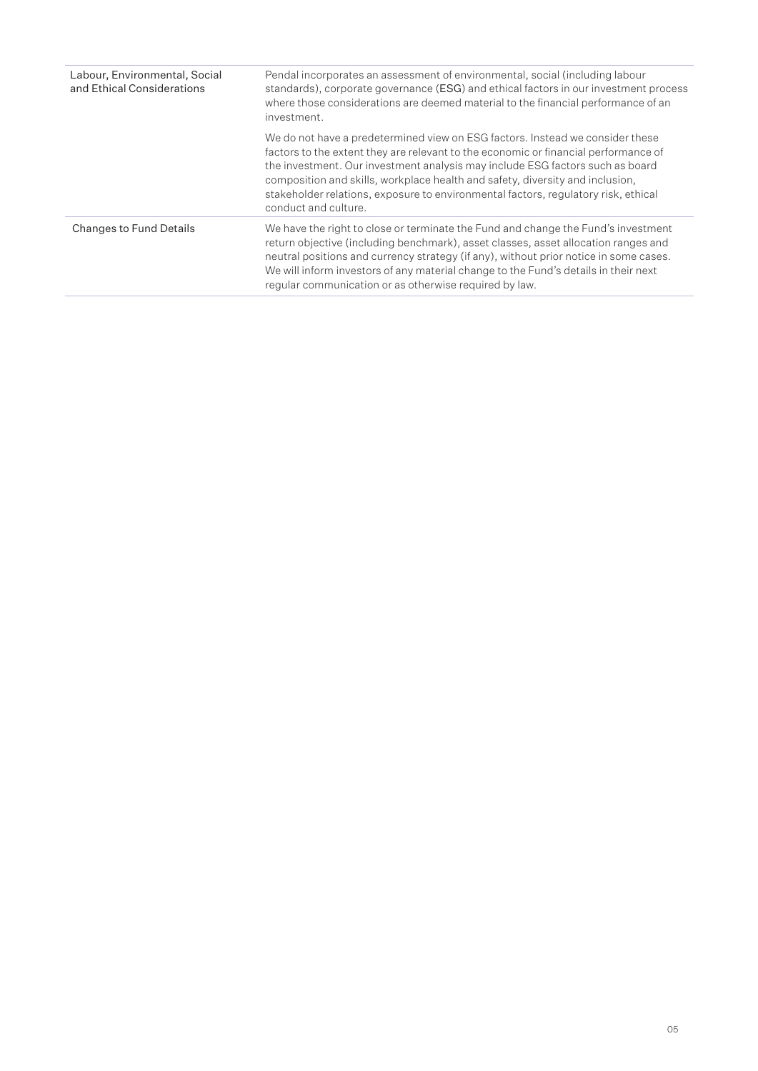| Labour, Environmental, Social<br>and Ethical Considerations | Pendal incorporates an assessment of environmental, social (including labour<br>standards), corporate governance (ESG) and ethical factors in our investment process<br>where those considerations are deemed material to the financial performance of an<br>investment.                                                                                                                                                                             |
|-------------------------------------------------------------|------------------------------------------------------------------------------------------------------------------------------------------------------------------------------------------------------------------------------------------------------------------------------------------------------------------------------------------------------------------------------------------------------------------------------------------------------|
|                                                             | We do not have a predetermined view on ESG factors. Instead we consider these<br>factors to the extent they are relevant to the economic or financial performance of<br>the investment. Our investment analysis may include ESG factors such as board<br>composition and skills, workplace health and safety, diversity and inclusion,<br>stakeholder relations, exposure to environmental factors, requiatory risk, ethical<br>conduct and culture. |
| <b>Changes to Fund Details</b>                              | We have the right to close or terminate the Fund and change the Fund's investment<br>return objective (including benchmark), asset classes, asset allocation ranges and<br>neutral positions and currency strategy (if any), without prior notice in some cases.<br>We will inform investors of any material change to the Fund's details in their next<br>regular communication or as otherwise required by law.                                    |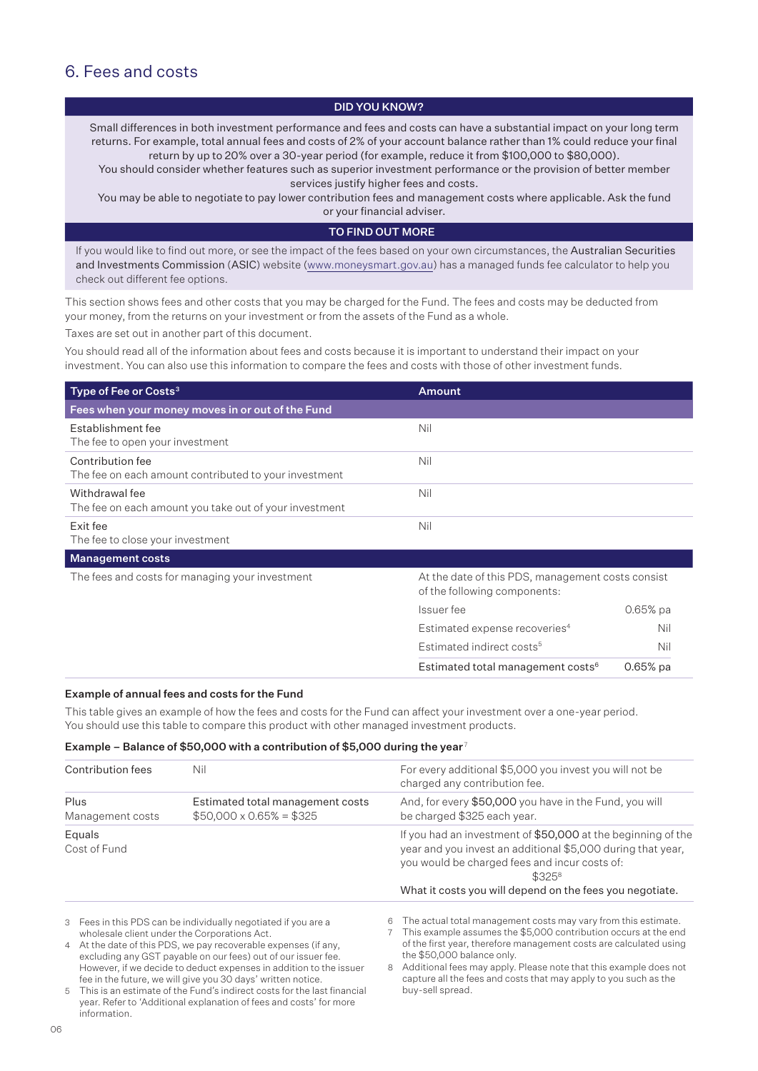### 6. Fees and costs

### DID YOU KNOW?

Small differences in both investment performance and fees and costs can have a substantial impact on your long term returns. For example, total annual fees and costs of 2% of your account balance rather than 1% could reduce your final return by up to 20% over a 30-year period (for example, reduce it from \$100,000 to \$80,000).

You should consider whether features such as superior investment performance or the provision of better member services justify higher fees and costs.

You may be able to negotiate to pay lower contribution fees and management costs where applicable. Ask the fund or your financial adviser.

#### TO FIND OUT MORE

If you would like to find out more, or see the impact of the fees based on your own circumstances, the Australian Securities and Investments Commission (ASIC) website (www.moneysmart.gov.au) has a managed funds fee calculator to help you check out different fee options.

This section shows fees and other costs that you may be charged for the Fund. The fees and costs may be deducted from your money, from the returns on your investment or from the assets of the Fund as a whole.

Taxes are set out in another part of this document.

You should read all of the information about fees and costs because it is important to understand their impact on your investment. You can also use this information to compare the fees and costs with those of other investment funds.

| Type of Fee or Costs <sup>3</sup>                                         | <b>Amount</b>                                                                     |            |
|---------------------------------------------------------------------------|-----------------------------------------------------------------------------------|------------|
| Fees when your money moves in or out of the Fund                          |                                                                                   |            |
| Establishment fee<br>The fee to open your investment                      | Nil                                                                               |            |
| Contribution fee<br>The fee on each amount contributed to your investment | Nil                                                                               |            |
| Withdrawal fee<br>The fee on each amount you take out of your investment  | Nil                                                                               |            |
| Exit fee<br>The fee to close your investment                              | Nil                                                                               |            |
| <b>Management costs</b>                                                   |                                                                                   |            |
| The fees and costs for managing your investment                           | At the date of this PDS, management costs consist<br>of the following components: |            |
|                                                                           | Issuer fee                                                                        | $0.65%$ pa |
|                                                                           | Estimated expense recoveries <sup>4</sup>                                         | Nil        |
|                                                                           | Estimated indirect costs <sup>5</sup>                                             | Nil        |
|                                                                           | Estimated total management costs <sup>6</sup>                                     | $0.65%$ pa |

#### Example of annual fees and costs for the Fund

This table gives an example of how the fees and costs for the Fund can affect your investment over a one-year period. You should use this table to compare this product with other managed investment products.

#### Example – Balance of \$50,000 with a contribution of \$5,000 during the year<sup>7</sup>

| Contribution fees        | Nil                                                                | For every additional \$5,000 you invest you will not be<br>charged any contribution fee.                                                                                                                                                             |
|--------------------------|--------------------------------------------------------------------|------------------------------------------------------------------------------------------------------------------------------------------------------------------------------------------------------------------------------------------------------|
| Plus<br>Management costs | Estimated total management costs<br>$$50,000 \times 0.65\% = $325$ | And, for every \$50,000 you have in the Fund, you will<br>be charged \$325 each year.                                                                                                                                                                |
| Equals<br>Cost of Fund   |                                                                    | If you had an investment of \$50,000 at the beginning of the<br>year and you invest an additional \$5,000 during that year,<br>you would be charged fees and incur costs of:<br>$$325^8$<br>What it costs you will depend on the fees you negotiate. |
|                          | 3 Eggs in this PDS can be individually negotiated if you are a     | 6 The actual total management costs may vary from this estimate                                                                                                                                                                                      |

3 Fees in this PDS can be individually negotiated if you are a wholesale client under the Corporations Act.

4 At the date of this PDS, we pay recoverable expenses (if any, excluding any GST payable on our fees) out of our issuer fee. However, if we decide to deduct expenses in addition to the issuer fee in the future, we will give you 30 days' written notice.

5 This is an estimate of the Fund's indirect costs for the last financial year. Refer to 'Additional explanation of fees and costs' for more information.

- 6 The actual total management costs may vary from this estimate.
- 7 This example assumes the \$5,000 contribution occurs at the end of the first year, therefore management costs are calculated using the \$50,000 balance only.

8 Additional fees may apply. Please note that this example does not capture all the fees and costs that may apply to you such as the buy-sell spread.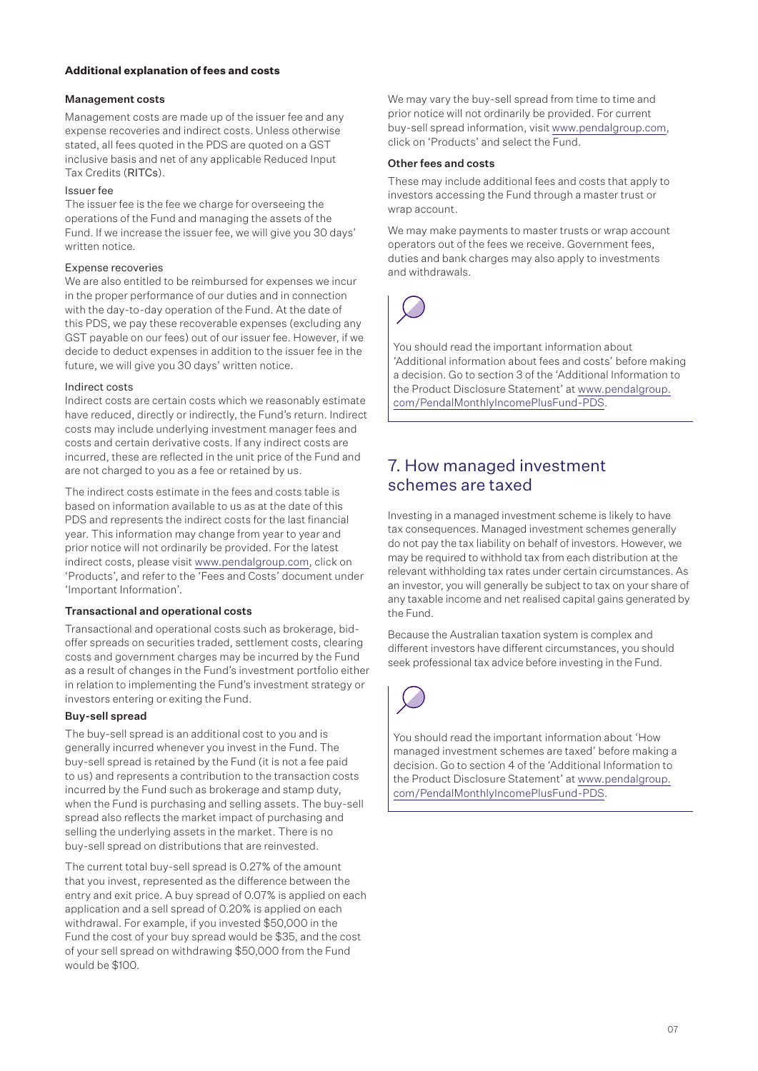### **Additional explanation of fees and costs**

### Management costs

Management costs are made up of the issuer fee and any expense recoveries and indirect costs. Unless otherwise stated, all fees quoted in the PDS are quoted on a GST inclusive basis and net of any applicable Reduced Input Tax Credits (RITCs).

### Issuer fee

The issuer fee is the fee we charge for overseeing the operations of the Fund and managing the assets of the Fund. If we increase the issuer fee, we will give you 30 days' written notice.

### Expense recoveries

We are also entitled to be reimbursed for expenses we incur in the proper performance of our duties and in connection with the day-to-day operation of the Fund. At the date of this PDS, we pay these recoverable expenses (excluding any GST payable on our fees) out of our issuer fee. However, if we decide to deduct expenses in addition to the issuer fee in the future, we will give you 30 days' written notice.

### Indirect costs

Indirect costs are certain costs which we reasonably estimate have reduced, directly or indirectly, the Fund's return. Indirect costs may include underlying investment manager fees and costs and certain derivative costs. If any indirect costs are incurred, these are reflected in the unit price of the Fund and are not charged to you as a fee or retained by us.

The indirect costs estimate in the fees and costs table is based on information available to us as at the date of this PDS and represents the indirect costs for the last financial year. This information may change from year to year and prior notice will not ordinarily be provided. For the latest indirect costs, please visit www.pendalgroup.com, click on 'Products', and refer to the 'Fees and Costs' document under 'Important Information'.

### Transactional and operational costs

Transactional and operational costs such as brokerage, bidoffer spreads on securities traded, settlement costs, clearing costs and government charges may be incurred by the Fund as a result of changes in the Fund's investment portfolio either in relation to implementing the Fund's investment strategy or investors entering or exiting the Fund.

### Buy-sell spread

The buy-sell spread is an additional cost to you and is generally incurred whenever you invest in the Fund. The buy-sell spread is retained by the Fund (it is not a fee paid to us) and represents a contribution to the transaction costs incurred by the Fund such as brokerage and stamp duty, when the Fund is purchasing and selling assets. The buy-sell spread also reflects the market impact of purchasing and selling the underlying assets in the market. There is no buy-sell spread on distributions that are reinvested.

The current total buy-sell spread is 0.27% of the amount that you invest, represented as the difference between the entry and exit price. A buy spread of 0.07% is applied on each application and a sell spread of 0.20% is applied on each withdrawal. For example, if you invested \$50,000 in the Fund the cost of your buy spread would be \$35, and the cost of your sell spread on withdrawing \$50,000 from the Fund would be \$100.

We may vary the buy-sell spread from time to time and prior notice will not ordinarily be provided. For current buy-sell spread information, visit www.pendalgroup.com, click on 'Products' and select the Fund.

#### Other fees and costs

These may include additional fees and costs that apply to investors accessing the Fund through a master trust or wrap account.

We may make payments to master trusts or wrap account operators out of the fees we receive. Government fees, duties and bank charges may also apply to investments and withdrawals.



You should read the important information about 'Additional information about fees and costs' before making a decision. Go to section 3 of the 'Additional Information to the Product Disclosure Statement' at [www.pendalgroup.](www.pendalgroup.com/PendalMonthlyIncomePlusFund-PDS) [com/PendalMonthlyIncomePlusFund-PDS.](www.pendalgroup.com/PendalMonthlyIncomePlusFund-PDS)

### 7. How managed investment schemes are taxed

Investing in a managed investment scheme is likely to have tax consequences. Managed investment schemes generally do not pay the tax liability on behalf of investors. However, we may be required to withhold tax from each distribution at the relevant withholding tax rates under certain circumstances. As an investor, you will generally be subject to tax on your share of any taxable income and net realised capital gains generated by the Fund.

Because the Australian taxation system is complex and different investors have different circumstances, you should seek professional tax advice before investing in the Fund.



You should read the important information about 'How managed investment schemes are taxed' before making a decision. Go to section 4 of the 'Additional Information to the Product Disclosure Statement' at [www.pendalgroup.](www.pendalgroup.com/PendalMonthlyIncomePlusFund-PDS) [com/PendalMonthlyIncomePlusFund-PDS.](www.pendalgroup.com/PendalMonthlyIncomePlusFund-PDS)